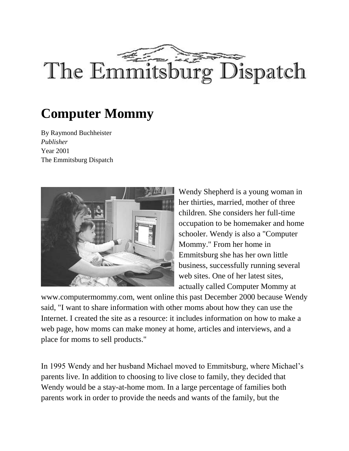

## **Computer Mommy**

By Raymond Buchheister *Publisher* Year 2001 The Emmitsburg Dispatch



Wendy Shepherd is a young woman in her thirties, married, mother of three children. She considers her full-time occupation to be homemaker and home schooler. Wendy is also a "Computer Mommy." From her home in Emmitsburg she has her own little business, successfully running several web sites. One of her latest sites, actually called Computer Mommy at

www.computermommy.com, went online this past December 2000 because Wendy said, "I want to share information with other moms about how they can use the Internet. I created the site as a resource: it includes information on how to make a web page, how moms can make money at home, articles and interviews, and a place for moms to sell products."

In 1995 Wendy and her husband Michael moved to Emmitsburg, where Michael's parents live. In addition to choosing to live close to family, they decided that Wendy would be a stay-at-home mom. In a large percentage of families both parents work in order to provide the needs and wants of the family, but the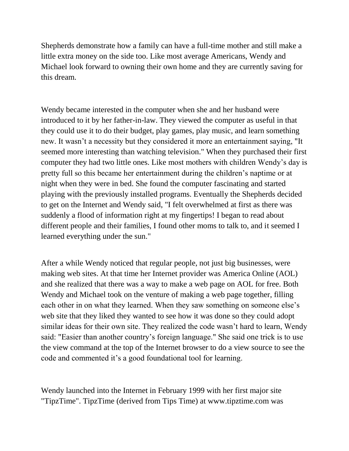Shepherds demonstrate how a family can have a full-time mother and still make a little extra money on the side too. Like most average Americans, Wendy and Michael look forward to owning their own home and they are currently saving for this dream.

Wendy became interested in the computer when she and her husband were introduced to it by her father-in-law. They viewed the computer as useful in that they could use it to do their budget, play games, play music, and learn something new. It wasn't a necessity but they considered it more an entertainment saying, "It seemed more interesting than watching television." When they purchased their first computer they had two little ones. Like most mothers with children Wendy's day is pretty full so this became her entertainment during the children's naptime or at night when they were in bed. She found the computer fascinating and started playing with the previously installed programs. Eventually the Shepherds decided to get on the Internet and Wendy said, "I felt overwhelmed at first as there was suddenly a flood of information right at my fingertips! I began to read about different people and their families, I found other moms to talk to, and it seemed I learned everything under the sun."

After a while Wendy noticed that regular people, not just big businesses, were making web sites. At that time her Internet provider was America Online (AOL) and she realized that there was a way to make a web page on AOL for free. Both Wendy and Michael took on the venture of making a web page together, filling each other in on what they learned. When they saw something on someone else's web site that they liked they wanted to see how it was done so they could adopt similar ideas for their own site. They realized the code wasn't hard to learn, Wendy said: "Easier than another country's foreign language." She said one trick is to use the view command at the top of the Internet browser to do a view source to see the code and commented it's a good foundational tool for learning.

Wendy launched into the Internet in February 1999 with her first major site "TipzTime". TipzTime (derived from Tips Time) at www.tipztime.com was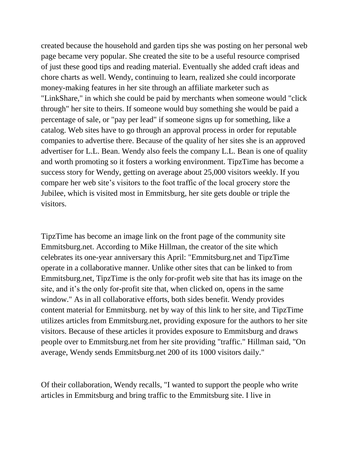created because the household and garden tips she was posting on her personal web page became very popular. She created the site to be a useful resource comprised of just these good tips and reading material. Eventually she added craft ideas and chore charts as well. Wendy, continuing to learn, realized she could incorporate money-making features in her site through an affiliate marketer such as "LinkShare," in which she could be paid by merchants when someone would "click through" her site to theirs. If someone would buy something she would be paid a percentage of sale, or "pay per lead" if someone signs up for something, like a catalog. Web sites have to go through an approval process in order for reputable companies to advertise there. Because of the quality of her sites she is an approved advertiser for L.L. Bean. Wendy also feels the company L.L. Bean is one of quality and worth promoting so it fosters a working environment. TipzTime has become a success story for Wendy, getting on average about 25,000 visitors weekly. If you compare her web site's visitors to the foot traffic of the local grocery store the Jubilee, which is visited most in Emmitsburg, her site gets double or triple the visitors.

TipzTime has become an image link on the front page of the community site Emmitsburg.net. According to Mike Hillman, the creator of the site which celebrates its one-year anniversary this April: "Emmitsburg.net and TipzTime operate in a collaborative manner. Unlike other sites that can be linked to from Emmitsburg.net, TipzTime is the only for-profit web site that has its image on the site, and it's the only for-profit site that, when clicked on, opens in the same window." As in all collaborative efforts, both sides benefit. Wendy provides content material for Emmitsburg. net by way of this link to her site, and TipzTime utilizes articles from Emmitsburg.net, providing exposure for the authors to her site visitors. Because of these articles it provides exposure to Emmitsburg and draws people over to Emmitsburg.net from her site providing "traffic." Hillman said, "On average, Wendy sends Emmitsburg.net 200 of its 1000 visitors daily."

Of their collaboration, Wendy recalls, "I wanted to support the people who write articles in Emmitsburg and bring traffic to the Emmitsburg site. I live in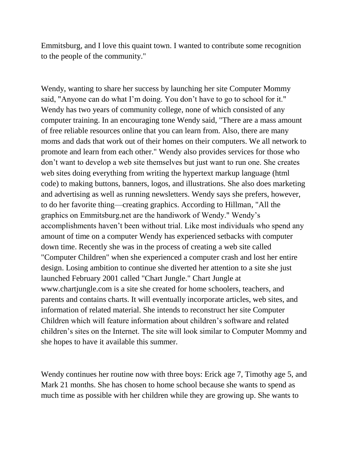Emmitsburg, and I love this quaint town. I wanted to contribute some recognition to the people of the community."

Wendy, wanting to share her success by launching her site Computer Mommy said, "Anyone can do what I'm doing. You don't have to go to school for it." Wendy has two years of community college, none of which consisted of any computer training. In an encouraging tone Wendy said, "There are a mass amount of free reliable resources online that you can learn from. Also, there are many moms and dads that work out of their homes on their computers. We all network to promote and learn from each other." Wendy also provides services for those who don't want to develop a web site themselves but just want to run one. She creates web sites doing everything from writing the hypertext markup language (html code) to making buttons, banners, logos, and illustrations. She also does marketing and advertising as well as running newsletters. Wendy says she prefers, however, to do her favorite thing—creating graphics. According to Hillman, "All the graphics on Emmitsburg.net are the handiwork of Wendy." Wendy's accomplishments haven't been without trial. Like most individuals who spend any amount of time on a computer Wendy has experienced setbacks with computer down time. Recently she was in the process of creating a web site called "Computer Children" when she experienced a computer crash and lost her entire design. Losing ambition to continue she diverted her attention to a site she just launched February 2001 called "Chart Jungle." Chart Jungle at www.chartjungle.com is a site she created for home schoolers, teachers, and parents and contains charts. It will eventually incorporate articles, web sites, and information of related material. She intends to reconstruct her site Computer Children which will feature information about children's software and related children's sites on the Internet. The site will look similar to Computer Mommy and she hopes to have it available this summer.

Wendy continues her routine now with three boys: Erick age 7, Timothy age 5, and Mark 21 months. She has chosen to home school because she wants to spend as much time as possible with her children while they are growing up. She wants to